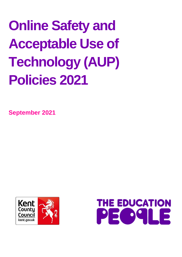# **Online Safety and Acceptable Use of Technology (AUP) Policies 2021**

**September 2021**



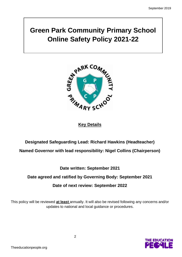# **Green Park Community Primary School Online Safety Policy 2021-22**



## **Key Details**

# **Designated Safeguarding Lead: Richard Hawkins (Headteacher) Named Governor with lead responsibility: Nigel Collins (Chairperson)**

# **Date written: September 2021**

# **Date agreed and ratified by Governing Body: September 2021 Date of next review: September 2022**

This policy will be reviewed **at least** annually. It will also be revised following any concerns and/or updates to national and local guidance or procedures.

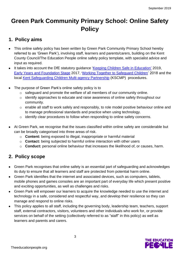# **Green Park Community Primary School: Online Safety Policy**

# **1. Policy aims**

- This online safety policy has been written by Green Park Community Primary School hereby referred to as 'Green Park'), involving staff, learners and parents/carers, building on the Kent County Council/The Education People online safety policy template, with specialist advice and input as required.
- It takes into account the DfE statutory guidance ['Keeping Children Safe in Education'](https://www.gov.uk/government/publications/keeping-children-safe-in-education--2) 2019, [Early Years and Foundation Stage](https://www.gov.uk/government/publications/early-years-foundation-stage-framework--2) 2017, '[Working Together to Safeguard Children'](https://www.gov.uk/government/publications/working-together-to-safeguard-children--2) 2018 and the local [Kent Safeguarding Children Multi-agency Partnership](https://www.kscb.org.uk/) (KSCMP) procedures.
- The purpose of Green Park's online safety policy is to
	- o safeguard and promote the welfare of all members of our community online.
	- o identify approaches to educate and raise awareness of online safety throughout our community.
	- o enable all staff to work safely and responsibly, to role model positive behaviour online and to manage professional standards and practice when using technology.
	- o identify clear procedures to follow when responding to online safety concerns.
- At Green Park, we recognise that the issues classified within online safety are considerable but can be broadly categorised into three areas of risk.
	- o **Content:** being exposed to illegal, inappropriate or harmful material
	- o **Contact:** being subjected to harmful online interaction with other users
	- o **Conduct:** personal online behaviour that increases the likelihood of, or causes, harm.

# **2. Policy scope**

- Green Park recognises that online safety is an essential part of safeguarding and acknowledges its duty to ensure that all learners and staff are protected from potential harm online.
- Green Park identifies that the internet and associated devices, such as computers, tablets, mobile phones and games consoles are an important part of everyday life which present positive and exciting opportunities, as well as challenges and risks.
- Green Park will empower our learners to acquire the knowledge needed to use the internet and technology in a safe, considered and respectful way, and develop their resilience so they can manage and respond to online risks.
- This policy applies to all staff, including the governing body, leadership team, teachers, support staff, external contractors, visitors, volunteers and other individuals who work for, or provide services on behalf of the setting (collectively referred to as "staff" in this policy) as well as learners and parents and carers.

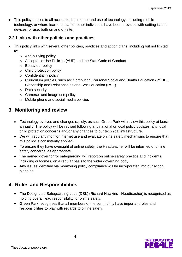• This policy applies to all access to the internet and use of technology, including mobile technology, or where learners, staff or other individuals have been provided with setting issued devices for use, both on and off-site.

#### **2.2 Links with other policies and practices**

- This policy links with several other policies, practices and action plans, including but not limited to:
	- o Anti-bullying policy
	- o Acceptable Use Policies (AUP) and the Staff Code of Conduct
	- o Behaviour policy
	- o Child protection policy
	- o Confidentiality policy
	- o Curriculum policies, such as: Computing, Personal Social and Health Education (PSHE), Citizenship and Relationships and Sex Education (RSE)
	- o Data security
	- o Cameras and image use policy
	- o Mobile phone and social media policies

## **3. Monitoring and review**

- Technology evolves and changes rapidly; as such Green Park will review this policy at least annually. The policy will be revised following any national or local policy updates, any local child protection concerns and/or any changes to our technical infrastructure.
- We will regularly monitor internet use and evaluate online safety mechanisms to ensure that this policy is consistently applied.
- To ensure they have oversight of online safety, the Headteacher will be informed of online safety concerns, as appropriate.
- The named governor for safeguarding will report on online safety practice and incidents, including outcomes, on a regular basis to the wider governing body.
- Any issues identified via monitoring policy compliance will be incorporated into our action planning.

# **4. Roles and Responsibilities**

- The Designated Safeguarding Lead (DSL) (Richard Hawkins Headteacher) is recognised as holding overall lead responsibility for online safety.
- Green Park recognises that all members of the community have important roles and responsibilities to play with regards to online safety.

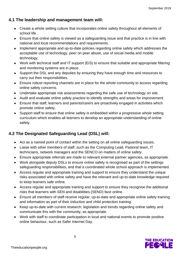### **4.1 The leadership and management team will:**

- Create a whole setting culture that incorporates online safety throughout all elements of school life.
- Ensure that online safety is viewed as a safeguarding issue and that practice is in line with national and local recommendations and requirements.
- Implement appropriate and up-to-date policies regarding online safety which addresses the acceptable use of technology, peer on peer abuse, use of social media and mobile technology.
- Work with technical staff and IT support (EiS) to ensure that suitable and appropriate filtering and monitoring systems are in place.
- Support the DSL and any deputies by ensuring they have enough time and resources to carry out their responsibilities.
- Ensure robust reporting channels are in place for the whole community to access regarding online safety concerns.
- Undertake appropriate risk assessments regarding the safe use of technology on site.
- Audit and evaluate online safety practice to identify strengths and areas for improvement.
- Ensure that staff, learners and parents/carers are proactively engaged in activities which promote online safety.
- Support staff to ensure that online safety is embedded within a progressive whole setting curriculum which enables all learners to develop an appropriate understanding of online safety.

# **4.2 The Designated Safeguarding Lead (DSL) will:**

- Act as a named point of contact within the setting on all online safeguarding issues.
- Liaise with other members of staff, such as the Computing Lead, Pastoral team, IT technicians, network managers and the SENCO on matters of online safety.
- Ensure appropriate referrals are made to relevant external partner agencies, as appropriate.
- Work alongside deputy DSLs to ensure online safety is recognised as part of the settings safeguarding responsibilities, and that a coordinated whole school approach is implemented.
- Access regular and appropriate training and support to ensure they understand the unique risks associated with online safety and have the relevant and up-to-date knowledge required to keep learners safe online.
- Access regular and appropriate training and support to ensure they recognise the additional risks that learners with SEN and disabilities (SEND) face online.
- Ensure all members of staff receive regular, up-to-date and appropriate online safety training and information as part of their induction and child protection training.
- Keep up-to-date with current research, legislation and trends regarding online safety and communicate this with the community, as appropriate.
- Work with staff to coordinate participation in local and national events to promote positive online behaviour, such as Safer Internet Day.

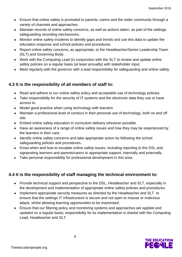- Ensure that online safety is promoted to parents, carers and the wider community through a variety of channels and approaches.
- Maintain records of online safety concerns, as well as actions taken, as part of the settings safeguarding recording mechanisms.
- Monitor online safety incidents to identify gaps and trends and use this data to update the education response and school policies and procedures.
- Report online safety concerns, as appropriate, to the Headteacher/Senior Leadership Team (SLT) and Governing Body.
- Work with the Computing Lead (in conjunction with the SLT to review and update online safety policies on a regular basis (at least annually) with stakeholder input.
- Meet regularly with the governor with a lead responsibility for safeguarding and online safety.

### **4.3 It is the responsibility of all members of staff to:**

- Read and adhere to our online safety policy and acceptable use of technology policies.
- Take responsibility for the security of IT systems and the electronic data they use or have access to.
- Model good practice when using technology with learners
- Maintain a professional level of conduct in their personal use of technology, both on and off site.
- Embed online safety education in curriculum delivery wherever possible.
- Have an awareness of a range of online safety issues and how they may be experienced by the learners in their care.
- Identify online safety concerns and take appropriate action by following the school safeguarding policies and procedures.
- Know when and how to escalate online safety issues, including reporting to the DSL and signposting learners and parents/carers to appropriate support, internally and externally.
- Take personal responsibility for professional development in this area.

#### **4.4 It is the responsibility of staff managing the technical environment to:**

- Provide technical support and perspective to the DSL, Headteacher and SLT, especially in the development and implementation of appropriate online safety policies and procedures.
- Implement appropriate security measures as directed by the Headteacher and SLT to ensure that the settings IT infrastructure is secure and not open to misuse or malicious attack, whilst allowing learning opportunities to be maximised.
- Ensure that our filtering policy and monitoring systems and approaches are applied and updated on a regular basis; responsibility for its implementation is shared with the Computing Lead, Headteacher and SLT.

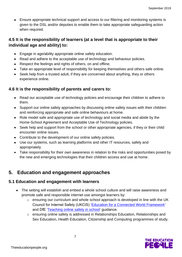• Ensure appropriate technical support and access to our filtering and monitoring systems is given to the DSL and/or deputies to enable them to take appropriate safeguarding action when required.

#### **4.5 It is the responsibility of learners (at a level that is appropriate to their individual age and ability) to:**

- Engage in age/ability appropriate online safety education.
- Read and adhere to the acceptable use of technology and behaviour policies.
- Respect the feelings and rights of others, on and offline.
- Take an appropriate level of responsibility for keeping themselves and others safe online.
- Seek help from a trusted adult, if they are concerned about anything, they or others experience online.

#### **4.6 It is the responsibility of parents and carers to:**

- Read our acceptable use of technology policies and encourage their children to adhere to them.
- Support our online safety approaches by discussing online safety issues with their children and reinforcing appropriate and safe online behaviours at home.
- Role model safe and appropriate use of technology and social media and abide by the Home-School Agreement and Acceptable Use of Technology policies.
- Seek help and support from the school or other appropriate agencies, if they or their child encounter online issues.
- Contribute to the development of our online safety policies.
- Use our systems, such as learning platforms and other IT resources, safely and appropriately.
- Take responsibility for their own awareness in relation to the risks and opportunities posed by the new and emerging technologies that their children access and use at home.

# **5. Education and engagement approaches**

#### **5.1 Education and engagement with learners**

- The setting will establish and embed a whole school culture and will raise awareness and promote safe and responsible internet use amongst learners by:
	- o ensuring our curriculum and whole school approach is developed in line with the UK Council for Internet Safety (UKCIS) ['Education for a Connected World Framework'](https://www.gov.uk/government/publications/education-for-a-connected-world) and DfE ['Teaching online safety in school'](https://www.gov.uk/government/publications/teaching-online-safety-in-schools) guidance.
	- o ensuring online safety is addressed in Relationships Education, Relationships and Sex Education, Health Education, Citizenship and Computing programmes of study.

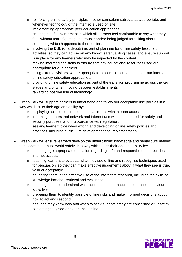- $\circ$  reinforcing online safety principles in other curriculum subjects as appropriate, and whenever technology or the internet is used on site.
- o implementing appropriate peer education approaches.
- o creating a safe environment in which all learners feel comfortable to say what they feel, without fear of getting into trouble and/or being judged for talking about something which happened to them online.
- o involving the DSL (or a deputy) as part of planning for online safety lessons or activities, so they can advise on any known safeguarding cases, and ensure support is in place for any learners who may be impacted by the content.
- o making informed decisions to ensure that any educational resources used are appropriate for our learners.
- o using external visitors, where appropriate, to complement and support our internal online safety education approaches.
- o providing online safety education as part of the transition programme across the key stages and/or when moving between establishments.
- o rewarding positive use of technology.
- Green Park will support learners to understand and follow our acceptable use policies in a way which suits their age and ability by:
	- o displaying acceptable use posters in all rooms with internet access.
	- o informing learners that network and internet use will be monitored for safety and security purposes, and in accordance with legislation.
	- o seeking learner voice when writing and developing online safety policies and practices, including curriculum development and implementation.
- Green Park will ensure learners develop the underpinning knowledge and behaviours needed to navigate the online world safely, in a way which suits their age and ability by:
	- o ensuring age appropriate education regarding safe and responsible use precedes internet access.
	- o teaching learners to evaluate what they see online and recognise techniques used for persuasion, so they can make effective judgements about if what they see is true, valid or acceptable.
	- o educating them in the effective use of the internet to research, including the skills of knowledge location, retrieval and evaluation.
	- o enabling them to understand what acceptable and unacceptable online behaviour looks like.
	- o preparing them to identify possible online risks and make informed decisions about how to act and respond.
	- o ensuring they know how and when to seek support if they are concerned or upset by something they see or experience online.

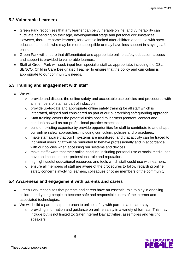#### **5.2 Vulnerable Learners**

- Green Park recognises that any learner can be vulnerable online, and vulnerability can fluctuate depending on their age, developmental stage and personal circumstances. However, there are some learners, for example looked after children and those with special educational needs, who may be more susceptible or may have less support in staying safe online.
- Green Park will ensure that differentiated and appropriate online safety education, access and support is provided to vulnerable learners.
- Staff at Green Park will seek input from specialist staff as appropriate, including the DSL, SENCO, Child in Care Designated Teacher to ensure that the policy and curriculum is appropriate to our community's needs.

#### **5.3 Training and engagement with staff**

- We will
	- o provide and discuss the online safety and acceptable use policies and procedures with all members of staff as part of induction.
	- o provide up-to-date and appropriate online safety training for all staff which is integrated, aligned and considered as part of our overarching safeguarding approach.
	- o Staff training covers the potential risks posed to learners (content, contact and conduct) as well as our professional practice expectations.
	- o build on existing expertise by provide opportunities for staff to contribute to and shape our online safety approaches, including curriculum, policies and procedures.
	- o make staff aware that our IT systems are monitored, and that activity can be traced to individual users. Staff will be reminded to behave professionally and in accordance with our policies when accessing our systems and devices.
	- o make staff aware that their online conduct, including personal use of social media, can have an impact on their professional role and reputation.
	- o highlight useful educational resources and tools which staff could use with learners.
	- o ensure all members of staff are aware of the procedures to follow regarding online safety concerns involving learners, colleagues or other members of the community.

#### **5.4 Awareness and engagement with parents and carers**

- Green Park recognises that parents and carers have an essential role to play in enabling children and young people to become safe and responsible users of the internet and associated technologies.
- We will build a partnership approach to online safety with parents and carers by
	- o providing information and guidance on online safety in a variety of formats. This may include but is not limited to: Safer Internet Day activities, assemblies and visiting speakers.

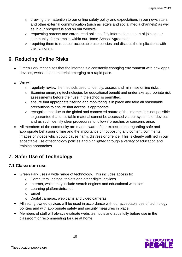- o drawing their attention to our online safety policy and expectations in our newsletters and other external communication (such as letters and social media channels) as well as in our prospectus and on our website.
- o requesting parents and carers read online safety information as part of joining our community, for example, within our Home-School Agreement.
- o requiring them to read our acceptable use policies and discuss the implications with their children.

# **6. Reducing Online Risks**

- Green Park recognises that the internet is a constantly changing environment with new apps, devices, websites and material emerging at a rapid pace.
- We will
	- $\circ$  regularly review the methods used to identify, assess and minimise online risks.
	- o Examine emerging technologies for educational benefit and undertake appropriate risk assessments before their use in the school is permitted.
	- o ensure that appropriate filtering and monitoring is in place and take all reasonable precautions to ensure that access is appropriate.
	- o recognise that due to the global and connected nature of the internet, it is not possible to guarantee that unsuitable material cannot be accessed via our systems or devices and as such identify clear procedures to follow if breaches or concerns arise.
- All members of the community are made aware of our expectations regarding safe and appropriate behaviour online and the importance of not posting any content, comments, images or videos which could cause harm, distress or offence. This is clearly outlined in our acceptable use of technology policies and highlighted through a variety of education and training approaches.

# **7. Safer Use of Technology**

#### **7.1 Classroom use**

- Green Park uses a wide range of technology. This includes access to:
	- o Computers, laptops, tablets and other digital devices
	- o Internet, which may include search engines and educational websites
	- o Learning platform/intranet
	- o Email
	- o Digital cameras, web cams and video cameras
- All setting owned devices will be used in accordance with our acceptable use of technology policies and with appropriate safety and security measures in place.
- Members of staff will always evaluate websites, tools and apps fully before use in the classroom or recommending for use at home.

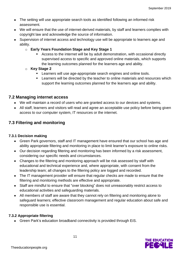- The setting will use appropriate search tools as identified following an informed risk assessment.
- We will ensure that the use of internet-derived materials, by staff and learners complies with copyright law and acknowledge the source of information.
- Supervision of internet access and technology use will be appropriate to learners age and ability.
	- o **Early Years Foundation Stage and Key Stage 1**
		- Access to the internet will be by adult demonstration, with occasional directly supervised access to specific and approved online materials, which supports the learning outcomes planned for the learners age and ability.
	- o **Key Stage 2** 
		- Learners will use age-appropriate search engines and online tools.
		- **EXECT** Learners will be directed by the teacher to online materials and resources which support the learning outcomes planned for the learners age and ability.

#### **7.2 Managing internet access**

- We will maintain a record of users who are granted access to our devices and systems.
- All staff, learners and visitors will read and agree an acceptable use policy before being given access to our computer system, IT resources or the internet.

#### **7.3 Filtering and monitoring**

#### **7.3.1 Decision making**

- Green Park governors, staff and IT management have ensured that our school has age and ability appropriate filtering and monitoring in place to limit learner's exposure to online risks.
- Our decision regarding filtering and monitoring has been informed by a risk assessment, considering our specific needs and circumstances.
- Changes to the filtering and monitoring approach will be risk assessed by staff with educational and technical experience and, where appropriate, with consent from the leadership team; all changes to the filtering policy are logged and recorded.
- The IT management provider will ensure that regular checks are made to ensure that the filtering and monitoring methods are effective and appropriate.
- Staff are mindful to ensure that "over blocking" does not unreasonably restrict access to educational activities and safeguarding materials.
- All members of staff are aware that they cannot rely on filtering and monitoring alone to safeguard learners; effective classroom management and regular education about safe and responsible use is essential.

#### **7.3.2 Appropriate filtering**

• Green Park's education broadband connectivity is provided through EiS.

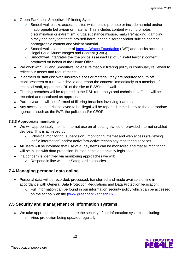- Green Park uses Smoothwall Filtering System.
	- o Smoothwall blocks access to sites which could promote or include harmful and/or inappropriate behaviour or material. This includes content which promotes discrimination or extremism, drugs/substance misuse, malware/hacking, gambling, piracy and copyright theft, pro-self-harm, eating disorder and/or suicide content, pornographic content and violent material.
	- o Smoothwall is a member of [Internet Watch Foundation](https://www.iwf.org.uk/) (IWF) and blocks access to illegal Child Abuse Images and Content (CAIC).
	- o Smoothwall integrates the 'the police assessed list of unlawful terrorist content, produced on behalf of the Home Office'
- We work with EiS and Smoothwall to ensure that our filtering policy is continually reviewed to reflect our needs and requirements.
- If learners or staff discover unsuitable sites or material, they are required to turn off monitor/screen or turn over device and report the concern immediately to a member of technical staff, report the URL of the site to EiS/Smoothwall.
- Filtering breaches will be reported to the DSL (or deputy) and technical staff and will be recorded and escalated as appropriate.
- Parents/carers will be informed of filtering breaches involving learners.
- Any access to material believed to be illegal will be reported immediately to the appropriate agencies, such as the IWF, the police and/or CEOP.

#### **7.3.3 Appropriate monitoring**

- We will appropriately monitor internet use on all setting owned or provided internet enabled devices. This is achieved by:
	- o Physical monitoring (supervision), monitoring internet and web access (reviewing logfile information) and/or active/pro-active technology monitoring services.
- All users will be informed that use of our systems can be monitored and that all monitoring will be in line with data protection, human rights and privacy legislation.
- If a concern is identified via monitoring approaches we will:
	- o Respond in line with our Safeguarding policies.

#### **7.4 Managing personal data online**

- Personal data will be recorded, processed, transferred and made available online in accordance with General Data Protection Regulations and Data Protection legislation.
	- o Full information can be found in our information security policy which can be accessed on the school website [\(www.greenpark.kent.sch.uk\)](http://www.greenpark.kent.sch.uk/)

#### **7.5 Security and management of information systems**

- We take appropriate steps to ensure the security of our information systems, including:
	- o Virus protection being updated regularly.

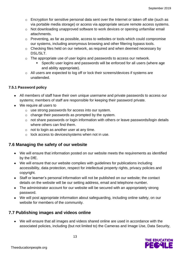- $\circ$  Encryption for sensitive personal data sent over the Internet or taken off site (such as via portable media storage) or access via appropriate secure remote access systems.
- $\circ$  Not downloading unapproved software to work devices or opening unfamiliar email attachments.
- o Preventing, as far as possible, access to websites or tools which could compromise our systems, including anonymous browsing and other filtering bypass tools.
- o Checking files held on our network, as required and when deemed necessary by DSL/SLT.
- o The appropriate use of user logins and passwords to access our network.
	- **EXE** Specific user logins and passwords will be enforced for all users (where age and ability appropriate).
- o All users are expected to log off or lock their screens/devices if systems are unattended.

#### **7.5.1 Password policy**

- All members of staff have their own unique username and private passwords to access our systems; members of staff are responsible for keeping their password private.
- We require all users to
	- o use strong passwords for access into our system.
	- o change their passwords as prompted by the system.
	- o not share passwords or login information with others or leave passwords/login details where others can find them.
	- $\circ$  not to login as another user at any time.
	- o lock access to devices/systems when not in use.

#### **7.6 Managing the safety of our website**

- We will ensure that information posted on our website meets the requirements as identified by the DfE.
- We will ensure that our website complies with guidelines for publications including accessibility, data protection, respect for intellectual property rights, privacy policies and copyright.
- Staff or learner's personal information will not be published on our website; the contact details on the website will be our setting address, email and telephone number.
- The administrator account for our website will be secured with an appropriately strong password.
- We will post appropriate information about safeguarding, including online safety, on our website for members of the community.

#### **7.7 Publishing images and videos online**

• We will ensure that all images and videos shared online are used in accordance with the associated policies, including (but not limited to) the Cameras and Image Use, Data Security,

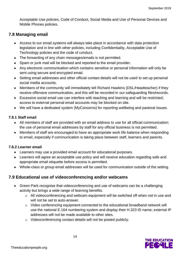Acceptable Use policies, Code of Conduct, Social Media and Use of Personal Devices and Mobile Phones policies.

#### **7.8 Managing email**

- Access to our email systems will always take place in accordance with data protection legislation and in line with other policies, including Confidentiality, Acceptable Use of Technology policies and the code of conduct.
- The forwarding of any chain messages/emails is not permitted.
- Spam or junk mail will be blocked and reported to the email provider.
- Any electronic communication which contains sensitive or personal information will only be sent using secure and encrypted email.
- Setting email addresses and other official contact details will not be used to set up personal social media accounts.
- Members of the community will immediately tell Richard Hawkins (DSL/Headteacher) if they receive offensive communication, and this will be recorded in our safeguarding files/records.
- Excessive social email use can interfere with teaching and learning and will be restricted; access to external personal email accounts may be blocked on site.
- We will have a dedicated system (MyConcerns) for reporting wellbeing and pastoral issues.

#### **7.8.1 Staff email**

- All members of staff are provided with an email address to use for all official communication; the use of personal email addresses by staff for any official business is not permitted.
- Members of staff are encouraged to have an appropriate work life balance when responding to email, especially if communication is taking place between staff, learners and parents.

#### **7.8.2 Learner email**

- Learners may use a provided email account for educational purposes.
- Learners will agree an acceptable use policy and will receive education regarding safe and appropriate email etiquette before access is permitted.
- Whole-class or group email addresses will be used for communication outside of the setting.

#### **7.9 Educational use of videoconferencing and/or webcams**

- Green Park recognise that videoconferencing and use of webcams can be a challenging activity but brings a wide range of learning benefits.
	- o All videoconferencing and webcam equipment will be switched off when not in use and will not be set to auto-answer.
	- o Video conferencing equipment connected to the educational broadband network will use the national E.164 numbering system and display their H.323 ID name; external IP addresses will not be made available to other sites.
	- o Videoconferencing contact details will not be posted publicly.

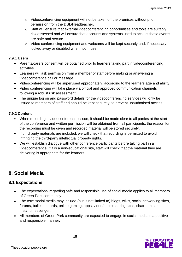- o Videoconferencing equipment will not be taken off the premises without prior permission from the DSL/Headteacher.
- o Staff will ensure that external videoconferencing opportunities and tools are suitably risk assessed and will ensure that accounts and systems used to access these events are safe and secure.
- o Video conferencing equipment and webcams will be kept securely and, if necessary, locked away or disabled when not in use.

#### **7.9.1 Users**

- Parents/carers consent will be obtained prior to learners taking part in videoconferencing activities.
- Learners will ask permission from a member of staff before making or answering a videoconference call or message.
- Videoconferencing will be supervised appropriately, according to the learners age and ability.
- Video conferencing will take place via official and approved communication channels following a robust risk assessment.
- The unique log on and password details for the videoconferencing services will only be issued to members of staff and should be kept securely, to prevent unauthorised access.

#### **7.9.2 Content**

- When recording a videoconference lesson, it should be made clear to all parties at the start of the conference and written permission will be obtained from all participants; the reason for the recording must be given and recorded material will be stored securely.
- If third party materials are included, we will check that recording is permitted to avoid infringing the third-party intellectual property rights.
- We will establish dialogue with other conference participants before taking part in a videoconference; if it is a non-educational site, staff will check that the material they are delivering is appropriate for the learners.

# **8. Social Media**

#### **8.1 Expectations**

- The expectations' regarding safe and responsible use of social media applies to all members of Green Park community.
- The term social media may include (but is not limited to) blogs, wikis, social networking sites, forums, bulletin boards, online gaming, apps, video/photo sharing sites, chatrooms and instant messenger.
- All members of Green Park community are expected to engage in social media in a positive and responsible manner.

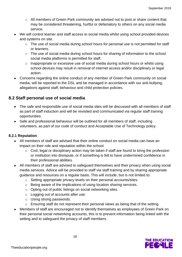- $\circ$  All members of Green Park community are advised not to post or share content that may be considered threatening, hurtful or defamatory to others on any social media service.
- We will control learner and staff access to social media whilst using school provided devices and systems on site.
	- o The use of social media during school hours for personal use is not permitted for staff or learners.
	- o The use of social media during school hours for sharing of information to the school social media platforms is permitted for staff.
	- o Inappropriate or excessive use of social media during school hours or whilst using school devices may result in removal of internet access and/or disciplinary or legal action.
- Concerns regarding the online conduct of any member of Green Park community on social media, will be reported to the DSL and be managed in accordance with our anti-bullying, allegations against staff, behaviour and child protection policies.

#### **8.2 Staff personal use of social media**

- The safe and responsible use of social media sites will be discussed with all members of staff as part of staff induction and will be revisited and communicated via regular staff training opportunities.
- Safe and professional behaviour will be outlined for all members of staff, including volunteers, as part of our code of conduct and Acceptable Use of Technology policy.

#### **8.2.1 Reputation**

- All members of staff are advised that their online conduct on social media can have an impact on their role and reputation within the school.
	- o Civil, legal or disciplinary action may be taken if staff are found to bring the profession or institution into disrepute, or if something is felt to have undermined confidence in their professional abilities.
- All members of staff are advised to safeguard themselves and their privacy when using social media services. Advice will be provided to staff via staff training and by sharing appropriate guidance and resources on a regular basis. This will include, but is not limited to:
	- o Setting appropriate privacy levels on their personal accounts/sites.
	- o Being aware of the implications of using location sharing services.
	- o Opting out of public listings on social networking sites.
	- o Logging out of accounts after use.
	- o Using strong passwords.
	- o Ensuring staff do not represent their personal views as being that of the setting.
- Members of staff are encouraged not to identify themselves as employees of Green Park on their personal social networking accounts; this is to prevent information being linked with the setting and to safeguard the privacy of staff members.

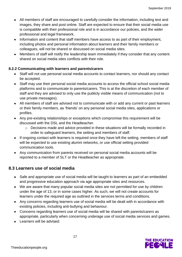- All members of staff are encouraged to carefully consider the information, including text and images, they share and post online. Staff are expected to ensure that their social media use is compatible with their professional role and is in accordance our policies, and the wider professional and legal framework.
- Information and content that staff members have access to as part of their employment, including photos and personal information about learners and their family members or colleagues, will not be shared or discussed on social media sites.
- Members of staff will notify the leadership team immediately if they consider that any content shared on social media sites conflicts with their role.

#### **8.2.2 Communicating with learners and parents/carers**

- Staff will not use personal social media accounts to contact learners, nor should any contact be accepted.
- Staff may use their personal social media accounts to access the official school social media platforms and to communicate to parents/carers. This is at the discretion of each member of staff and they are advised to only use the publicly visible means of communication (not to use private messages).
- All members of staff are advised not to communicate with or add any current or past learners or their family members, as 'friends' on any personal social media sites, applications or profiles.
- Any pre-existing relationships or exceptions which compromise this requirement will be discussed with the DSL and the Headteacher.
	- o Decisions made and advice provided in these situations will be formally recorded in order to safeguard learners, the setting and members of staff.
- If ongoing contact with learners is required once they have left the setting, members of staff will be expected to use existing alumni networks, or use official setting provided communication tools.
- Any communication from parents received on personal social media accounts will be reported to a member of SLT or the Headteacher as appropriate.

#### **8.3 Learners use of social media**

- Safe and appropriate use of social media will be taught to learners as part of an embedded and progressive education approach via age appropriate sites and resources.
- We are aware that many popular social media sites are not permitted for use by children under the age of 13, or in some cases higher. As such, we will not create accounts for learners under the required age as outlined in the services terms and conditions.
- Any concerns regarding learners use of social media will be dealt with in accordance with existing policies, including anti-bullying and behaviour.
- Concerns regarding learners use of social media will be shared with parents/carers as appropriate, particularly when concerning underage use of social media services and games.
- Learners will be advised:

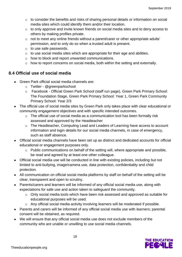- $\circ$  to consider the benefits and risks of sharing personal details or information on social media sites which could identify them and/or their location.
- o to only approve and invite known friends on social media sites and to deny access to others by making profiles private.
- o not to meet any online friends without a parent/carer or other appropriate adults' permission, and to only do so when a trusted adult is present.
- o to use safe passwords.
- o to use social media sites which are appropriate for their age and abilities.
- o how to block and report unwanted communications.
- o how to report concerns on social media, both within the setting and externally.

#### **8.4 Official use of social media**

- Green Park official social media channels are:
	- o Twitter @greenparkschool
	- o Facebook Official Green Park School (staff run page), Green Park Primary School: The Foundation Stage, Green Park Primary School: Year 1, Green Park Community Primary School: Year 2/3
- The official use of social media sites by Green Park only takes place with clear educational or community engagement objectives and with specific intended outcomes.
	- o The official use of social media as a communication tool has been formally risk assessed and approved by the Headteacher
	- o The Headteacher, Computing Lead and Leaders of Learning have access to account information and login details for our social media channels, in case of emergency, such as staff absence.
- Official social media channels have been set up as distinct and dedicated accounts for official educational or engagement purposes only.
	- o Public communications on behalf of the setting will, where appropriate and possible, be read and agreed by at least one other colleague.
- Official social media use will be conducted in line with existing policies, including but not limited to anti-bullying, image/camera use, data protection, confidentiality and child protection.
- All communication on official social media platforms by staff on behalf of the setting will be clear, transparent and open to scrutiny.
- Parents/carers and learners will be informed of any official social media use, along with expectations for safe use and action taken to safeguard the community.
	- o Only social media tools which have been risk assessed and approved as suitable for educational purposes will be used.
	- o Any official social media activity involving learners will be moderated if possible.
- Parents and carers will be informed of any official social media use with learners; parental consent will be obtained, as required.
- We will ensure that any official social media use does not exclude members of the community who are unable or unwilling to use social media channels.

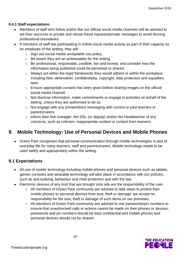#### **8.4.1 Staff expectations**

- Members of staff who follow and/or like our official social media channels will be advised to set their accounts to private and refuse friend requests/private messages to avoid blurring professional boundaries.
- If members of staff are participating in online social media activity as part of their capacity as an employee of the setting, they will:
	- o Sign our social media acceptable use policy.
	- o Be aware they are an ambassador for the setting.
	- o Be professional, responsible, credible, fair and honest, and consider how the information being published could be perceived or shared.
	- o Always act within the legal frameworks they would adhere to within the workplace, including libel, defamation, confidentiality, copyright, data protection and equalities laws.
	- o Ensure appropriate consent has been given before sharing images on the official social media channel.
	- o Not disclose information, make commitments or engage in activities on behalf of the setting, unless they are authorised to do so.
	- o Not engage with any private/direct messaging with current or past learners or parents/carers.
	- o Inform their line manager, the DSL (or deputy) and/or the Headteacher of any concerns, such as criticism, inappropriate content or contact from learners.

# **9. Mobile Technology: Use of Personal Devices and Mobile Phones**

• Green Park recognises that personal communication through mobile technologies is part of everyday life for many learners, staff and parents/carers. Mobile technology needs to be used safely and appropriately within the setting.

#### **9.1 Expectations**

- All use of mobile technology including mobile phones and personal devices such as tablets, games consoles and wearable technology will take place in accordance with our policies, such as anti-bullying, behaviour and child protection and with the law.
- Electronic devices of any kind that are brought onto site are the responsibility of the user.
	- $\circ$  All members of Green Park community are advised to take steps to protect their mobile phones or personal devices from loss, theft or damage; we accept no responsibility for the loss, theft or damage of such items on our premises.
	- o All members of Green Park community are advised to use passwords/pin numbers to ensure that unauthorised calls or actions cannot be made on their phones or devices; passwords and pin numbers should be kept confidential and mobile phones and personal devices should not be shared.

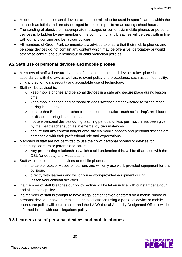- Mobile phones and personal devices are not permitted to be used in specific areas within the site such as toilets and are discouraged from use in public areas during school hours.
- The sending of abusive or inappropriate messages or content via mobile phones or personal devices is forbidden by any member of the community; any breaches will be dealt with in line with our anti-bullying and behaviour policies.
- All members of Green Park community are advised to ensure that their mobile phones and personal devices do not contain any content which may be offensive, derogatory or would otherwise contravene our behaviour or child protection policies.

#### **9.2 Staff use of personal devices and mobile phones**

- Members of staff will ensure that use of personal phones and devices takes place in accordance with the law, as well as, relevant policy and procedures, such as confidentiality, child protection, data security and acceptable use of technology.
- Staff will be advised to:
	- $\circ$  keep mobile phones and personal devices in a safe and secure place during lesson time.
	- o keep mobile phones and personal devices switched off or switched to 'silent' mode during lesson times.
	- o ensure that Bluetooth or other forms of communication, such as 'airdrop', are hidden or disabled during lesson times.
	- o not use personal devices during teaching periods, unless permission has been given by the Headteacher such as in emergency circumstances.
	- o ensure that any content bought onto site via mobile phones and personal devices are compatible with their professional role and expectations.
- Members of staff are not permitted to use their own personal phones or devices for contacting learners or parents and carers.
	- o Any pre-existing relationships which could undermine this, will be discussed with the DSL (or deputy) and Headteacher.
- Staff will not use personal devices or mobile phones:
	- o to take photos or videos of learners and will only use work-provided equipment for this purpose.
	- o directly with learners and will only use work-provided equipment during lessons/educational activities.
- If a member of staff breaches our policy, action will be taken in line with our staff behaviour and allegations policy.
- If a member of staff is thought to have illegal content saved or stored on a mobile phone or personal device, or have committed a criminal offence using a personal device or mobile phone, the police will be contacted and the LADO (Local Authority Designated Officer) will be informed in line with our allegations policy.

#### **9.3 Learners use of personal devices and mobile phones**

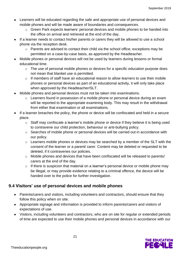- Learners will be educated regarding the safe and appropriate use of personal devices and mobile phones and will be made aware of boundaries and consequences.
	- o Green Park expects learners' personal devices and mobile phones to be handed into the office on arrival and retrieved at the end of the day.
- If a learner needs to contact his/her parents or carers they will be allowed to use a school phone via the reception desk.
	- o Parents are advised to contact their child via the school office; exceptions may be permitted on a case-by-case basis, as approved by the Headteacher.
- Mobile phones or personal devices will not be used by learners during lessons or formal educational time.
	- o The use of personal mobile phones or devices for a specific education purpose does not mean that blanket use is permitted.
	- o If members of staff have an educational reason to allow learners to use their mobile phones or personal devices as part of an educational activity, it will only take place when approved by the Headteacher/SLT.
- Mobile phones and personal devices must not be taken into examinations.
	- o Learners found in possession of a mobile phone or personal device during an exam will be reported to the appropriate examining body. This may result in the withdrawal from either that examination or all examinations.
- If a learner breaches the policy, the phone or device will be confiscated and held in a secure place.
	- o Staff may confiscate a learner's mobile phone or device if they believe it is being used to contravene our child protection, behaviour or anti-bullying policy.
	- o Searches of mobile phone or personal devices will be carried out in accordance with our policy.
	- o Learners mobile phones or devices may be searched by a member of the SLT with the consent of the learner or a parent/ carer. Content may be deleted or requested to be deleted, if it contravenes our policies.
	- o Mobile phones and devices that have been confiscated will be released to parents/ carers at the end of the day.
	- $\circ$  If there is suspicion that material on a learner's personal device or mobile phone may be illegal, or may provide evidence relating to a criminal offence, the device will be handed over to the police for further investigation.

#### **9.4 Visitors' use of personal devices and mobile phones**

- Parents/carers and visitors, including volunteers and contractors, should ensure that they follow this policy when on site.
- Appropriate signage and information is provided to inform parents/carers and visitors of expectations of use.
- Visitors, including volunteers and contractors, who are on site for regular or extended periods of time are expected to use their mobile phones and personal devices in accordance with our

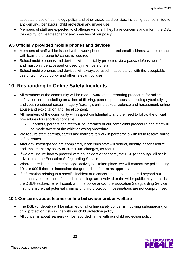acceptable use of technology policy and other associated policies, including but not limited to anti-bullying, behaviour, child protection and image use.

• Members of staff are expected to challenge visitors if they have concerns and inform the DSL (or deputy) or Headteacher of any breaches of our policy.

#### **9.5 Officially provided mobile phones and devices**

- Members of staff will be issued with a work phone number and email address, where contact with learners or parents/ carers is required.
- School mobile phones and devices will be suitably protected via a passcode/password/pin and must only be accessed or used by members of staff.
- School mobile phones and devices will always be used in accordance with the acceptable use of technology policy and other relevant policies.

# **10. Responding to Online Safety Incidents**

- All members of the community will be made aware of the reporting procedure for online safety concerns, including breaches of filtering, peer on peer abuse, including cyberbullying and youth produced sexual imagery (sexting), online sexual violence and harassment, online abuse and exploitation and illegal content.
- All members of the community will respect confidentiality and the need to follow the official procedures for reporting concerns.
	- o Learners, parents and staff will be informed of our complaints procedure and staff will be made aware of the whistleblowing procedure.
- We require staff, parents, carers and learners to work in partnership with us to resolve online safety issues.
- After any investigations are completed, leadership staff will debrief, identify lessons learnt and implement any policy or curriculum changes, as required.
- If we are unsure how to proceed with an incident or concern, the DSL (or deputy) will seek advice from the Education Safeguarding Service.
- Where there is a concern that illegal activity has taken place, we will contact the police using 101, or 999 if there is immediate danger or risk of harm as appropriate.
- If information relating to a specific incident or a concern needs to be shared beyond our community, for example if other local settings are involved or the wider public may be at risk, the DSL/Headteacher will speak with the police and/or the Education Safeguarding Service first, to ensure that potential criminal or child protection investigations are not compromised.

#### **10.1 Concerns about learner online behaviour and/or welfare**

- The DSL (or deputy) will be informed of all online safety concerns involving safeguarding or child protection risks in line with our child protection policy.
- All concerns about learners will be recorded in line with our child protection policy.

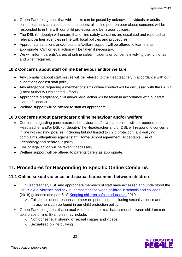- Green Park recognises that whilst risks can be posed by unknown individuals or adults online, learners can also abuse their peers; all online peer on peer abuse concerns will be responded to in line with our child protection and behaviour policies.
- The DSL (or deputy) will ensure that online safety concerns are escalated and reported to relevant partner agencies in line with local policies and procedures.
- Appropriate sanctions and/or pastoral/welfare support will be offered to learners as appropriate. Civil or legal action will be taken if necessary.
- We will inform parents/carers of online safety incidents or concerns involving their child, as and when required.

#### **10.2 Concerns about staff online behaviour and/or welfare**

- Any complaint about staff misuse will be referred to the Headteacher, in accordance with our allegations against staff policy.
- Any allegations regarding a member of staff's online conduct will be discussed with the LADO (Local Authority Designated Officer).
- Appropriate disciplinary, civil and/or legal action will be taken in accordance with our staff Code of Conduct.
- Welfare support will be offered to staff as appropriate.

#### **10.3 Concerns about parent/carer online behaviour and/or welfare**

- Concerns regarding parents/carers behaviour and/or welfare online will be reported to the Headteacher and/or DSL (or deputy).The Headteacher and/or DSL will respond to concerns in line with existing policies, including but not limited to child protection, anti-bullying, complaints, allegations against staff, Home-School agreement, Acceptable Use of Technology and behaviour policy.
- Civil or legal action will be taken if necessary.
- Welfare support will be offered to parents/carers as appropriate.

# **11. Procedures for Responding to Specific Online Concerns**

#### **11.1 Online sexual violence and sexual harassment between children**

- Our Headteacher, DSL and appropriate members of staff have accessed and understood the DfE ["Sexual violence and sexual harassment between children in schools and colleges"](https://www.gov.uk/government/publications/sexual-violence-and-sexual-harassment-between-children-in-schools-and-colleges) (2018) guidance and part 5 of ['Keeping children safe in education'](https://www.gov.uk/government/publications/keeping-children-safe-in-education--2) 2019.
	- o Full details of our response to peer on peer abuse, including sexual violence and harassment can be found in our child protection policy.
- Green Park recognises that sexual violence and sexual harassment between children can take place online. Examples may include;
	- o Non-consensual sharing of sexual images and videos
	- o Sexualised online bullying

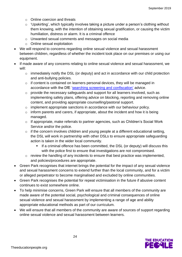- o Online coercion and threats
- $\circ$  'Upskirting', which typically involves taking a picture under a person's clothing without them knowing, with the intention of obtaining sexual gratification, or causing the victim humiliation, distress or alarm. It is a criminal offence
- o Unwanted sexual comments and messages on social media
- o Online sexual exploitation
- We will respond to concerns regarding online sexual violence and sexual harassment between children, regardless of whether the incident took place on our premises or using our equipment.
- If made aware of any concerns relating to online sexual violence and sexual harassment, we will:
	- o immediately notify the DSL (or deputy) and act in accordance with our child protection and anti-bullying policies.
	- o if content is contained on learners personal devices, they will be managed in accordance with the DfE ['searching screening and confiscation'](https://www.gov.uk/government/publications/searching-screening-and-confiscation) advice.
	- o provide the necessary safeguards and support for all learners involved, such as implementing safety plans, offering advice on blocking, reporting and removing online content, and providing appropriate counselling/pastoral support.
	- o implement appropriate sanctions in accordance with our behaviour policy.
	- $\circ$  inform parents and carers, if appropriate, about the incident and how it is being managed.
	- o If appropriate, make referrals to partner agencies, such as Children's Social Work Service and/or the police.
	- $\circ$  if the concern involves children and young people at a different educational setting, the DSL will work in partnership with other DSLs to ensure appropriate safeguarding action is taken in the wider local community.
		- If a criminal offence has been committed, the DSL (or deputy) will discuss this with the police first to ensure that investigations are not compromised.
	- $\circ$  review the handling of any incidents to ensure that best practice was implemented, and policies/procedures are appropriate.
- Green Park recognises that internet brings the potential for the impact of any sexual violence and sexual harassment concerns to extend further than the local community, and for a victim or alleged perpetrator to become marginalised and excluded by online communities.
- Green Park recognises the potential for repeat victimisation in the future if abusive content continues to exist somewhere online.
- To help minimise concerns, Green Park will ensure that all members of the community are made aware of the potential social, psychological and criminal consequences of online sexual violence and sexual harassment by implementing a range of age and ability appropriate educational methods as part of our curriculum.
- We will ensure that all members of the community are aware of sources of support regarding online sexual violence and sexual harassment between learners.

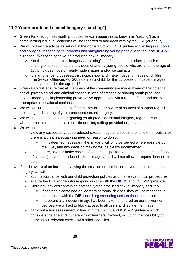## **11.2 Youth produced sexual imagery ("sexting")**

- Green Park recognises youth produced sexual imagery (also known as "sexting") as a safeguarding issue; all concerns will be reported to and dealt with by the DSL (or deputy).
- We will follow the advice as set out in the non-statutory UKCIS guidance: 'Sexting in schools [and colleges: responding to incidents and safeguarding young people'](https://www.gov.uk/government/groups/uk-council-for-child-internet-safety-ukccis) and the local [KSCMP](http://www.kscb.org.uk/guidance/online-safety) guidance: "Responding to youth produced sexual imagery".
	- o Youth produced sexual imagery or 'sexting' is defined as the production and/or sharing of sexual photos and videos of and by young people who are under the age of 18. It includes nude or nearly nude images and/or sexual acts.
	- o It is an offence to possess, distribute, show and make indecent images of children. The Sexual Offences Act 2003 defines a child, for the purposes of indecent images, as anyone under the age of 18.
- Green Park will ensure that all members of the community are made aware of the potential social, psychological and criminal consequences of creating or sharing youth produced sexual imagery by implementing preventative approaches, via a range of age and ability appropriate educational methods.
- We will ensure that all members of the community are aware of sources of support regarding the taking and sharing of youth produced sexual imagery.
- We will respond to concerns regarding youth produced sexual imagery, regardless of whether the incident took place on site or using setting provided or personal equipment.
- We will not:
	- o view any suspected youth produced sexual imagery, unless there is no other option, or there is a clear safeguarding need or reason to do so.
		- If it is deemed necessary, the imagery will only be viewed where possible by the DSL, and any decision making will be clearly documented.
	- o send, share, save or make copies of content suspected to be an indecent image/video of a child (i.e. youth produced sexual imagery) and will not allow or request learners to do so.
- If made aware of an incident involving the creation or distribution of youth produced sexual imagery, we will:
	- o act in accordance with our child protection policies and the relevant local procedures.
	- $\circ$  ensure the DSL (or deputy) responds in line with the [UKCIS](https://www.gov.uk/government/groups/uk-council-for-child-internet-safety-ukccis) and KSCMP guidance.
	- o Store any devices containing potential youth produced sexual imagery securely
		- **EXEDENT** If content is contained on learners personal devices, they will be managed in accordance with the DfE ['searching screening and confiscation'](https://www.gov.uk/government/publications/searching-screening-and-confiscation) advice.
		- **EXED 15 If a potentially indecent image has been taken or shared on our network or** devices, we will act to block access to all users and isolate the image.
	- $\circ$  carry out a risk assessment in line with the [UKCIS](https://www.gov.uk/government/groups/uk-council-for-child-internet-safety-ukccis) and KSCMP guidance which considers the age and vulnerability of learners involved, including the possibility of carrying out relevant checks with other agencies.

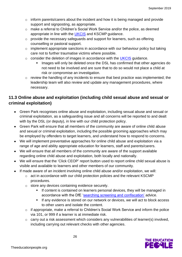- o inform parents/carers about the incident and how it is being managed and provide support and signposting, as appropriate.
- o make a referral to Children's Social Work Service and/or the police, as deemed appropriate in line with the [UKCIS](https://www.gov.uk/government/groups/uk-council-for-child-internet-safety-ukccis) and KSCMP guidance.
- o provide the necessary safeguards and support for learners, such as offering counselling or pastoral support.
- $\circ$  implement appropriate sanctions in accordance with our behaviour policy but taking care not to further traumatise victims where possible.
- o consider the deletion of images in accordance with the **UKCIS** guidance.
	- Images will only be deleted once the DSL has confirmed that other agencies do not need to be involved and are sure that to do so would not place a child at risk or compromise an investigation.
- o review the handling of any incidents to ensure that best practice was implemented; the leadership team will also review and update any management procedures, where necessary.

### **11.3 Online abuse and exploitation (including child sexual abuse and sexual or criminal exploitation)**

- Green Park recognises online abuse and exploitation, including sexual abuse and sexual or criminal exploitation, as a safeguarding issue and all concerns will be reported to and dealt with by the DSL (or deputy), in line with our child protection policy.
- Green Park will ensure that all members of the community are aware of online child abuse and sexual or criminal exploitation, including the possible grooming approaches which may be employed by offenders to target learners, and understand how to respond to concerns.
- We will implement preventative approaches for online child abuse and exploitation via a range of age and ability appropriate education for learners, staff and parents/carers.
- We will ensure that all members of the community are aware of the support available regarding online child abuse and exploitation, both locally and nationally.
- We will ensure that the 'Click CEOP' report button used to report online child sexual abuse is visible and available to learners and other members of our community.
- If made aware of an incident involving online child abuse and/or exploitation, we will:
	- o act in accordance with our child protection policies and the relevant KSCMP procedures.
	- o store any devices containing evidence securely.
		- **EXEDENT** If content is contained on learners personal devices, they will be managed in accordance with the DfE ['searching screening and confiscation'](https://www.gov.uk/government/publications/searching-screening-and-confiscation) advice.
		- **EXT** If any evidence is stored on our network or devices, we will act to block access to other users and isolate the content.
	- o if appropriate, make a referral to Children's Social Work Service and inform the police via 101, or 999 if a learner is at immediate risk.
	- o carry out a risk assessment which considers any vulnerabilities of learner(s) involved, including carrying out relevant checks with other agencies.

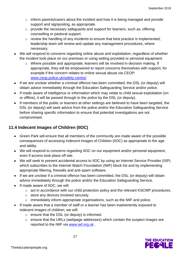- o inform parents/carers about the incident and how it is being managed and provide support and signposting, as appropriate.
- o provide the necessary safeguards and support for learners, such as, offering counselling or pastoral support.
- $\circ$  review the handling of any incidents to ensure that best practice is implemented: leadership team will review and update any management procedures, where necessary.
- We will respond to concerns regarding online abuse and exploitation, regardless of whether the incident took place on our premises or using setting provided or personal equipment.
	- o Where possible and appropriate, learners will be involved in decision making. If appropriate, they will be empowered to report concerns themselves with support, for example if the concern relates to online sexual abuse via CEOP: [www.ceop.police.uk/safety-centre/](http://www.ceop.police.uk/safety-centre/)
- If we are unclear whether a criminal offence has been committed, the DSL (or deputy) will obtain advice immediately through the Education Safeguarding Service and/or police.
- If made aware of intelligence or information which may relate to child sexual exploitation (on or offline), it will be passed through to the police by the DSL (or deputy).
- If members of the public or learners at other settings are believed to have been targeted, the DSL (or deputy) will seek advice from the police and/or the Education Safeguarding Service before sharing specific information to ensure that potential investigations are not compromised.

## **11.4 Indecent Images of Children (IIOC)**

- Green Park will ensure that all members of the community are made aware of the possible consequences of accessing Indecent Images of Children (IIOC) as appropriate to the age and ability.
- We will respond to concerns regarding IIOC on our equipment and/or personal equipment, even if access took place off site.
- We will seek to prevent accidental access to IIOC by using an Internet Service Provider (ISP) which subscribes to the Internet Watch Foundation (IWF) block list and by implementing appropriate filtering, firewalls and anti-spam software.
- If we are unclear if a criminal offence has been committed, the DSL (or deputy) will obtain advice immediately through the police and/or the Education Safeguarding Service.
- If made aware of IIOC, we will:
	- o act in accordance with our child protection policy and the relevant KSCMP procedures.
	- o store any devices involved securely.
	- $\circ$  immediately inform appropriate organisations, such as the IWF and police.
- If made aware that a member of staff or a learner has been inadvertently exposed to indecent images of children, we will:
	- o ensure that the DSL (or deputy) is informed.
	- o ensure that the URLs (webpage addresses) which contain the suspect images are reported to the IWF via [www.iwf.org.uk](https://www.iwf.org.uk/).

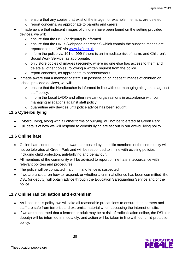- $\circ$  ensure that any copies that exist of the image, for example in emails, are deleted.
- o report concerns, as appropriate to parents and carers.
- If made aware that indecent images of children have been found on the setting provided devices, we will:
	- o ensure that the DSL (or deputy) is informed.
	- o ensure that the URLs (webpage addresses) which contain the suspect images are reported to the IWF via [www.iwf.org.uk](https://www.iwf.org.uk/) .
	- o inform the police via 101 or 999 if there is an immediate risk of harm, and Children's Social Work Service, as appropriate.
	- o only store copies of images (securely, where no one else has access to them and delete all other copies) following a written request from the police.
	- o report concerns, as appropriate to parents/carers.
- If made aware that a member of staff is in possession of indecent images of children on school provided devices, we will:
	- o ensure that the Headteacher is informed in line with our managing allegations against staff policy.
	- o inform the Local LADO and other relevant organisations in accordance with our managing allegations against staff policy.
	- o quarantine any devices until police advice has been sought.

#### **11.5 Cyberbullying**

- Cyberbullying, along with all other forms of bullying, will not be tolerated at Green Park.
- Full details of how we will respond to cyberbullying are set out in our anti-bullying policy.

#### **11.6 Online hate**

- Online hate content, directed towards or posted by, specific members of the community will not be tolerated at Green Park and will be responded to in line with existing policies, including child protection, anti-bullying and behaviour.
- All members of the community will be advised to report online hate in accordance with relevant policies and procedures.
- The police will be contacted if a criminal offence is suspected.
- If we are unclear on how to respond, or whether a criminal offence has been committed, the DSL (or deputy) will obtain advice through the Education Safeguarding Service and/or the police.

#### **11.7 Online radicalisation and extremism**

- As listed in this policy, we will take all reasonable precautions to ensure that learners and staff are safe from terrorist and extremist material when accessing the internet on site.
- If we are concerned that a learner or adult may be at risk of radicalisation online, the DSL (or deputy) will be informed immediately, and action will be taken in line with our child protection policy.

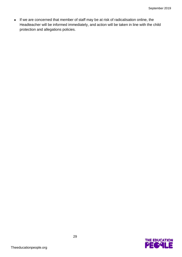• If we are concerned that member of staff may be at risk of radicalisation online, the Headteacher will be informed immediately, and action will be taken in line with the child protection and allegations policies.

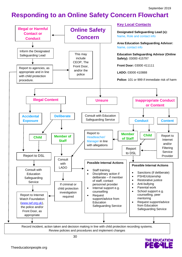# **Responding to an Online Safety Concern Flowchart**



**THE EDUCATION**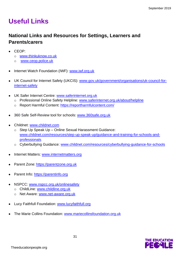# **Useful Links**

# **National Links and Resources for Settings, Learners and Parents/carers**

- CEOP:
	- o [www.thinkuknow.co.uk](http://www.thinkuknow.co.uk/)
	- o [www.ceop.police.uk](http://www.ceop.police.uk/)
- Internet Watch Foundation (IWF): [www.iwf.org.uk](http://www.iwf.org.uk/)
- UK Council for Internet Safety (UKCIS): [www.gov.uk/government/organisations/uk-council-for](https://www.gov.uk/government/organisations/uk-council-for-internet-safety)[internet-safety](https://www.gov.uk/government/organisations/uk-council-for-internet-safety)
- UK Safer Internet Centre: [www.saferinternet.org.uk](http://www.saferinternet.org.uk/)
	- o Professional Online Safety Helpline: [www.saferinternet.org.uk/about/helpline](http://www.saferinternet.org.uk/about/helpline)
	- o Report Harmful Content:<https://reportharmfulcontent.com/>
- 360 Safe Self-Review tool for schools: [www.360safe.org.uk](http://www.360safe.org.uk/)
- Childnet: [www.childnet.com](http://www.childnet.com/)
	- o Step Up Speak Up Online Sexual Harassment Guidance: [www.childnet.com/resources/step-up-speak-up/guidance-and-training-for-schools-and](http://www.childnet.com/resources/step-up-speak-up/guidance-and-training-for-schools-and-professionals)[professionals](http://www.childnet.com/resources/step-up-speak-up/guidance-and-training-for-schools-and-professionals)
	- o Cyberbullying Guidance: [www.childnet.com/resources/cyberbullying-guidance-for-schools](http://www.childnet.com/resources/cyberbullying-guidance-for-schools)
- Internet Matters: [www.internetmatters.org](http://www.internetmatters.org/)
- Parent Zone: [https://parentzone.org.uk](https://parentzone.org.uk/)
- Parent Info: [https://parentinfo.org](https://parentinfo.org/)
- NSPCC: [www.nspcc.org.uk/onlinesafety](http://www.nspcc.org.uk/onlinesafety)
	- o ChildLine: [www.childline.org.uk](http://www.childline.org.uk/)
	- o Net Aware: [www.net-aware.org.uk](http://www.net-aware.org.uk/)
- Lucy Faithfull Foundation: [www.lucyfaithfull.org](http://www.lucyfaithfull.org/)
- The Marie Collins Foundation: [www.mariecollinsfoundation.org.uk](http://www.mariecollinsfoundation.org.uk/)

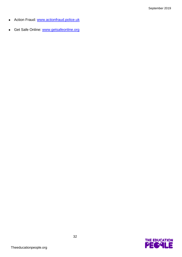- Action Fraud: [www.actionfraud.police.uk](http://www.actionfraud.police.uk/)
- Get Safe Online: [www.getsafeonline.org](http://www.getsafeonline.org/)

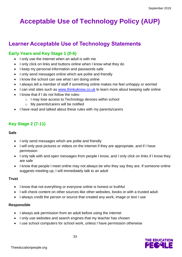# **Acceptable Use of Technology Policy (AUP)**

# **Learner Acceptable Use of Technology Statements**

#### **Early Years and Key Stage 1 (0-6)**

- I only use the internet when an adult is with me
- I only click on links and buttons online when I know what they do
- I keep my personal information and passwords safe
- I only send messages online which are polite and friendly
- I know the school can see what I am doing online
- I always tell a member of staff if something online makes me feel unhappy or worried
- I can visit sites such as [www.thinkuknow.co.uk](http://www.thinkuknow.co.uk/) to learn more about keeping safe online
- I know that if I do not follow the rules:
	- o I may lose access to Technology devices within school
	- o My parents/carers will be notified
- I have read and talked about these rules with my parents/carers

# **Key Stage 2 (7-11)**

#### **Safe**

- I only send messages which are polite and friendly
- I will only post pictures or videos on the internet if they are appropriate, and if I have permission
- I only talk with and open messages from people I know, and I only click on links if I know they are safe
- I know that people I meet online may not always be who they say they are. If someone online suggests meeting up, I will immediately talk to an adult

#### **Trust**

- I know that not everything or everyone online is honest or truthful
- I will check content on other sources like other websites, books or with a trusted adult
- I always credit the person or source that created any work, image or text I use

#### **Responsible**

- I always ask permission from an adult before using the internet
- I only use websites and search engines that my teacher has chosen
- I use school computers for school work, unless I have permission otherwise

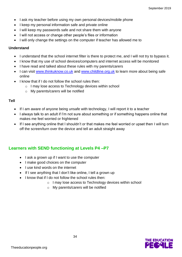- I ask my teacher before using my own personal devices/mobile phone
- I keep my personal information safe and private online
- I will keep my passwords safe and not share them with anyone
- I will not access or change other people's files or information
- I will only change the settings on the computer if teacher has allowed me to

#### **Understand**

- I understand that the school internet filter is there to protect me, and I will not try to bypass it.
- I know that my use of school devices/computers and internet access will be monitored
- I have read and talked about these rules with my parents/carers
- I can visit [www.thinkuknow.co.uk](http://www.thinkuknow.co.uk/) and [www.childline.org.uk](http://www.childline.org.uk/) to learn more about being safe online
- I know that if I do not follow the school rules then:
	- o I may lose access to Technology devices within school
	- o My parents/carers will be notified

#### **Tell**

- If I am aware of anyone being unsafe with technology, I will report it to a teacher
- I always talk to an adult if I'm not sure about something or if something happens online that makes me feel worried or frightened
- If I see anything online that I shouldn't or that makes me feel worried or upset then I will turn off the screen/turn over the device and tell an adult straight away

#### **Learners with SEND functioning at Levels P4 –P7**

- I ask a grown up if I want to use the computer
- I make good choices on the computer
- I use kind words on the internet
- If I see anything that I don't like online, I tell a grown up
- I know that if I do not follow the school rules then:
	- o I may lose access to Technology devices within school
	- o My parents/carers will be notified

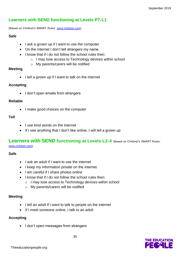## **Learners with SEND functioning at Levels P7-L1**

(Based on Childnet's SMART Rules: [www.childnet.com\)](http://www.childnet.com/)

#### **Safe**

- I ask a grown up if I want to use the computer
- On the internet I don't tell strangers my name
- I know that if I do not follow the school rules then:
	- o I may lose access to Technology devices within school
	- o My parents/carers will be notified

#### **Meeting**

• I tell a grown up if I want to talk on the internet

#### **Accepting**

• I don't open emails from strangers

#### **Reliable**

• I make good choices on the computer

#### **Tell**

- I use kind words on the internet
- If I see anything that I don't like online, I will tell a grown up

# **Learners with SEND functioning at Levels L2-4** (Based on Childnet's SMART Rules:

[www.childnet.com\)](http://www.childnet.com/)

#### **Safe**

- I ask an adult if I want to use the internet
- I keep my information private on the internet
- I am careful if I share photos online
- I know that if I do not follow the school rules then:
	- o I may lose access to Technology devices within school
	- o My parents/carers will be notified

#### **Meeting**

- I tell an adult if I want to talk to people on the internet
- If I meet someone online, I talk to an adult

#### **Accepting**

• I don't open messages from strangers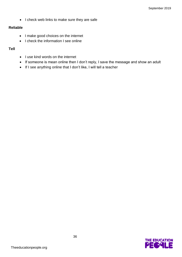• I check web links to make sure they are safe

#### **Reliable**

- I make good choices on the internet
- I check the information I see online

#### **Tell**

- I use kind words on the internet
- If someone is mean online then I don't reply, I save the message and show an adult
- If I see anything online that I don't like, I will tell a teacher

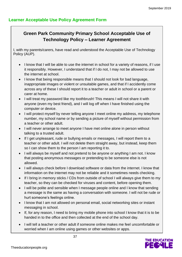## **Learner Acceptable Use Policy Agreement Form**

# **Green Park Community Primary School Acceptable Use of Technology Policy – Learner Agreement**

I, with my parents/carers, have read and understood the Acceptable Use of Technology Policy (AUP).

- I know that I will be able to use the internet in school for a variety of reasons, if I use it responsibly. However, I understand that if I do not, I may not be allowed to use the internet at school.
- I know that being responsible means that I should not look for bad language, inappropriate images or violent or unsuitable games, and that if I accidently come across any of these I should report it to a teacher or adult in school or a parent or carer at home.
- I will treat my password like my toothbrush! This means I will not share it with anyone (even my best friend), and I will log off when I have finished using the computer or device.
- I will protect myself by never telling anyone I meet online my address, my telephone number, my school name or by sending a picture of myself without permission from a teacher or other adult.
- I will never arrange to meet anyone I have met online alone in person without talking to a trusted adult.
- If I get unpleasant, rude or bullying emails or messages, I will report them to a teacher or other adult. I will not delete them straight away, but instead, keep them so I can show them to the person I am reporting it to.
- I will always be myself and not pretend to be anyone or anything I am not. I know that posting anonymous messages or pretending to be someone else is not allowed.
- I will always check before I download software or data from the internet. I know that information on the internet may not be reliable and it sometimes needs checking.
- If I bring in memory sticks / CDs from outside of school I will always give them to my teacher, so they can be checked for viruses and content, before opening them.
- I will be polite and sensible when I message people online and I know that sending a message is the same as having a conversation with someone. I will not be rude or hurt someone's feelings online.
- I know that I am not allowed on personal email, social networking sites or instant messaging in school.
- If, for any reason, I need to bring my mobile phone into school I know that it is to be handed in to the office and then collected at the end of the school day.
- I will tell a teacher or other adult if someone online makes me feel uncomfortable or worried when I am online using games or other websites or apps.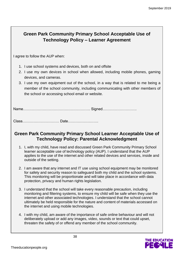# **Green Park Community Primary School Acceptable Use of Technology Policy – Learner Agreement**

I agree to follow the AUP when:

- 1. I use school systems and devices, both on and offsite
- 2. I use my own devices in school when allowed, including mobile phones, gaming devices, and cameras.
- 3. I use my own equipment out of the school, in a way that is related to me being a member of the school community, including communicating with other members of the school or accessing school email or website.

Name………………………………………………. Signed……………………….

Class………………………… Date…………………….

#### **Green Park Community Primary School Learner Acceptable Use of Technology Policy: Parental Acknowledgment**

- 1. I, with my child, have read and discussed Green Park Community Primary School learner acceptable use of technology policy (AUP). I understand that the AUP applies to the use of the internet and other related devices and services, inside and outside of the setting.
- 2. I am aware that any internet and IT use using school equipment may be monitored for safety and security reason to safeguard both my child and the school systems. This monitoring will be proportionate and will take place in accordance with data protection, privacy and human rights legislation.
- 3. I understand that the school will take every reasonable precaution, including monitoring and filtering systems, to ensure my child will be safe when they use the internet and other associated technologies. I understand that the school cannot ultimately be held responsible for the nature and content of materials accessed on the internet and using mobile technologies.
- 4. I with my child, am aware of the importance of safe online behaviour and will not deliberately upload or add any images, video, sounds or text that could upset, threaten the safety of or offend any member of the school community.

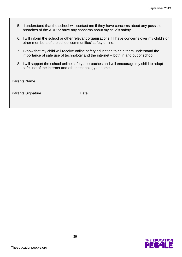- 5. I understand that the school will contact me if they have concerns about any possible breaches of the AUP or have any concerns about my child's safety.
- 6. I will inform the school or other relevant organisations if I have concerns over my child's or other members of the school communities' safety online.
- 7. I know that my child will receive online safety education to help them understand the importance of safe use of technology and the internet – both in and out of school.
- 8. I will support the school online safety approaches and will encourage my child to adopt safe use of the internet and other technology at home.

Parents Name……………………………………………........

Parents Signature…………………………. Date…………….

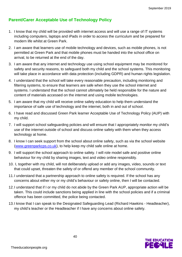## **Parent/Carer Acceptable Use of Technology Policy**

- 1. I know that my child will be provided with internet access and will use a range of IT systems including computers, laptops and iPads in order to access the curriculum and be prepared for modern life whilst at Green Park.
- 2. I am aware that learners use of mobile technology and devices, such as mobile phones, is not permitted at Green Park and that mobile phones must be handed into the school office on arrival, to be returned at the end of the day.
- 3. I am aware that any internet and technology use using school equipment may be monitored for safety and security reasons, to safeguard both my child and the school systems. This monitoring will take place in accordance with data protection (including GDPR) and human rights legislation.
- 4. I understand that the school will take every reasonable precaution, including monitoring and filtering systems, to ensure that learners are safe when they use the school internet and systems. I understand that the school cannot ultimately be held responsible for the nature and content of materials accessed on the internet and using mobile technologies.
- 5. I am aware that my child will receive online safety education to help them understand the importance of safe use of technology and the internet, both in and out of school.
- 6. I have read and discussed Green Park learner Acceptable Use of Technology Policy (AUP) with my child.
- 7. I will support school safeguarding policies and will ensure that I appropriately monitor my child's use of the internet outside of school and discuss online safety with them when they access technology at home.
- 8. I know I can seek support from the school about online safety, such as via the school website [\(www.greenparkcps.co.uk\)](http://www.greenparkcps.co.uk/), to help keep my child safe online at home.
- 9. I will support the school approach to online safety. I will role model safe and positive online behaviour for my child by sharing images, text and video online responsibly.
- 10. I, together with my child, will not deliberately upload or add any images, video, sounds or text that could upset, threaten the safety of or offend any member of the school community.
- 11.I understand that a partnership approach to online safety is required. If the school has any concerns about either my or my child's behaviour or safety online, then I will be contacted.
- 12.I understand that if I or my child do not abide by the Green Park AUP, appropriate action will be taken. This could include sanctions being applied in line with the school policies and if a criminal offence has been committed, the police being contacted.
- 13.I know that I can speak to the Designated Safeguarding Lead (Richard Hawkins Headteacher), my child's teacher or the Headteacher if I have any concerns about online safety.

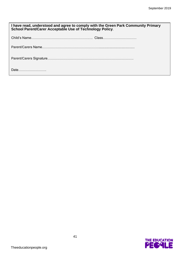| I have read, understood and agree to comply with the Green Park Community Primary School Parent/Carer Acceptable Use of Technology Policy. |  |
|--------------------------------------------------------------------------------------------------------------------------------------------|--|
|                                                                                                                                            |  |
|                                                                                                                                            |  |
|                                                                                                                                            |  |
| Date                                                                                                                                       |  |

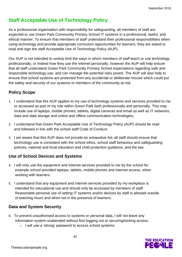# **Staff Acceptable Use of Technology Policy**

As a professional organisation with responsibility for safeguarding, all members of staff are expected to use Green Park Community Primary School IT systems in a professional, lawful, and ethical manner. To ensure that members of staff understand their professional responsibilities when using technology and provide appropriate curriculum opportunities for learners, they are asked to read and sign the staff Acceptable Use of Technology Policy (AUP).

Our AUP is not intended to unduly limit the ways in which members of staff teach or use technology professionally, or indeed how they use the internet personally, however the AUP will help ensure that all staff understand Green Park Community Primary School expectations regarding safe and responsible technology use, and can manage the potential risks posed. The AUP will also help to ensure that school systems are protected from any accidental or deliberate misuse which could put the safety and security of our systems or members of the community at risk.

### **Policy Scope**

- 1. I understand that this AUP applies to my use of technology systems and services provided to me or accessed as part of my role within Green Park both professionally and personally. This may include use of laptops, mobile phones, tablets, digital cameras and email as well as IT networks, data and data storage and online and offline communication technologies**.**
- 2. I understand that Green Park Acceptable Use of Technology Policy (AUP) should be read and followed in line with the school staff Code of Conduct.
- 3. I am aware that this AUP does not provide an exhaustive list; all staff should ensure that technology use is consistent with the school ethos, school staff behaviour and safeguarding policies, national and local education and child protection guidance, and the law.

#### **Use of School Devices and Systems**

- 4. I will only use the equipment and internet services provided to me by the school for example school provided laptops, tablets, mobile phones and internet access, when working with learners.
- 5. I understand that any equipment and internet services provided by my workplace is intended for educational use and should only be accessed by members of staff. Reasonable personal use of setting IT systems and/or devices by staff is allowed outside of teaching hours and when not in the presence of learners.

#### **Data and System Security**

- 6. To prevent unauthorised access to systems or personal data, I will not leave any information system unattended without first logging out or securing/locking access.
	- o I will use a 'strong' password to access school systems.

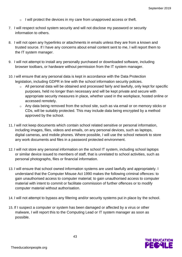- $\circ$  I will protect the devices in my care from unapproved access or theft.
- 7. I will respect school system security and will not disclose my password or security information to others.
- 8. I will not open any hyperlinks or attachments in emails unless they are from a known and trusted source. If I have any concerns about email content sent to me, I will report them to the IT system manager.
- 9. I will not attempt to install any personally purchased or downloaded software, including browser toolbars, or hardware without permission from the IT system manager.
- 10. I will ensure that any personal data is kept in accordance with the Data Protection legislation, including GDPR in line with the school information security policies.
	- All personal data will be obtained and processed fairly and lawfully, only kept for specific purposes, held no longer than necessary and will be kept private and secure with appropriate security measures in place, whether used in the workplace, hosted online or accessed remotely.
	- o Any data being removed from the school site, such as via email or on memory sticks or CDs, will be suitably protected. This may include data being encrypted by a method approved by the school.
- 11. I will not keep documents which contain school related sensitive or personal information, including images, files, videos and emails, on any personal devices, such as laptops, digital cameras, and mobile phones. Where possible, I will use the school network to store any work documents and files in a password protected environment.
- 12. I will not store any personal information on the school IT system, including school laptops or similar device issued to members of staff, that is unrelated to school activities, such as personal photographs, files or financial information.
- 13. I will ensure that school owned information systems are used lawfully and appropriately. I understand that the Computer Misuse Act 1990 makes the following criminal offences: to gain unauthorised access to computer material; to gain unauthorised access to computer material with intent to commit or facilitate commission of further offences or to modify computer material without authorisation.
- 14. I will not attempt to bypass any filtering and/or security systems put in place by the school.
- 15. If I suspect a computer or system has been damaged or affected by a virus or other malware, I will report this to the Computing Lead or IT system manager as soon as possible.

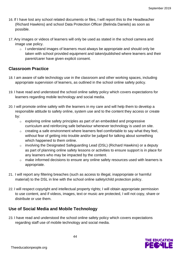- 16. If I have lost any school related documents or files, I will report this to the Headteacher (Richard Hawkins) and school Data Protection Officer (Belinda Daniels) as soon as possible.
- 17. Any images or videos of learners will only be used as stated in the school camera and image use policy.
	- o I understand images of learners must always be appropriate and should only be taken with school provided equipment and taken/published where learners and their parent/carer have given explicit consent.

#### **Classroom Practice**

- 18. I am aware of safe technology use in the classroom and other working spaces, including appropriate supervision of learners, as outlined in the school online safety policy.
- 19. I have read and understood the school online safety policy which covers expectations for learners regarding mobile technology and social media.
- 20. I will promote online safety with the learners in my care and will help them to develop a responsible attitude to safety online, system use and to the content they access or create by:
	- o exploring online safety principles as part of an embedded and progressive curriculum and reinforcing safe behaviour whenever technology is used on site.
	- $\circ$  creating a safe environment where learners feel comfortable to say what they feel, without fear of getting into trouble and/or be judged for talking about something which happened to them online.
	- o involving the Designated Safeguarding Lead (DSL) (Richard Hawkins) or a deputy as part of planning online safety lessons or activities to ensure support is in place for any learners who may be impacted by the content.
	- o make informed decisions to ensure any online safety resources used with learners is appropriate.
- 21. I will report any filtering breaches (such as access to illegal, inappropriate or harmful material) to the DSL in line with the school online safety/child protection policy.
- 22. I will respect copyright and intellectual property rights; I will obtain appropriate permission to use content, and if videos, images, text or music are protected, I will not copy, share or distribute or use them.

#### **Use of Social Media and Mobile Technology**

23. I have read and understood the school online safety policy which covers expectations regarding staff use of mobile technology and social media.

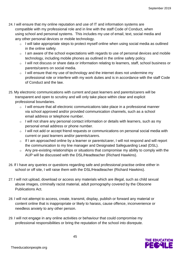- 24. I will ensure that my online reputation and use of IT and information systems are compatible with my professional role and in line with the staff Code of Conduct, when using school and personal systems. This includes my use of email, text, social media and any other personal devices or mobile technology.
	- o I will take appropriate steps to protect myself online when using social media as outlined in the online safety.
	- o I am aware of the school expectations with regards to use of personal devices and mobile technology, including mobile phones as outlined in the online safety policy.
	- o I will not discuss or share data or information relating to learners, staff, school business or parents/carers on social media.
	- $\circ$  I will ensure that my use of technology and the internet does not undermine my professional role or interfere with my work duties and is in accordance with the staff Code of Conduct and the law.
- 25. My electronic communications with current and past learners and parents/carers will be transparent and open to scrutiny and will only take place within clear and explicit professional boundaries.
	- o I will ensure that all electronic communications take place in a professional manner via school approved and/or provided communication channels, such as a school email address or telephone number.
	- o I will not share any personal contact information or details with learners, such as my personal email address or phone number.
	- o I will not add or accept friend requests or communications on personal social media with current or past learners and/or parents/carers.
	- $\circ$  If I am approached online by a learner or parents/carer, I will not respond and will report the communication to my line manager and Designated Safeguarding Lead (DSL).
	- o Any pre-existing relationships or situations that compromise my ability to comply with the AUP will be discussed with the DSL/Headteacher (Richard Hawkins).
- 26. If I have any queries or questions regarding safe and professional practise online either in school or off site, I will raise them with the DSL/Headteacher (Richard Hawkins).
- 27. I will not upload, download or access any materials which are illegal, such as child sexual abuse images, criminally racist material, adult pornography covered by the Obscene Publications Act.
- 28. I will not attempt to access, create, transmit, display, publish or forward any material or content online that is inappropriate or likely to harass, cause offence, inconvenience or needless anxiety to any other person.
- 29. I will not engage in any online activities or behaviour that could compromise my professional responsibilities or bring the reputation of the school into disrepute.

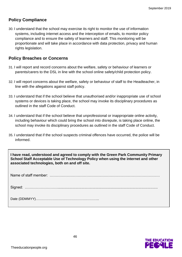#### **Policy Compliance**

30. I understand that the school may exercise its right to monitor the use of information systems, including internet access and the interception of emails, to monitor policy compliance and to ensure the safety of learners and staff. This monitoring will be proportionate and will take place in accordance with data protection, privacy and human rights legislation.

#### **Policy Breaches or Concerns**

- 31. I will report and record concerns about the welfare, safety or behaviour of learners or parents/carers to the DSL in line with the school online safety/child protection policy.
- 32. I will report concerns about the welfare, safety or behaviour of staff to the Headteacher, in line with the allegations against staff policy.
- 33. I understand that if the school believe that unauthorised and/or inappropriate use of school systems or devices is taking place, the school may invoke its disciplinary procedures as outlined in the staff Code of Conduct.
- 34. I understand that if the school believe that unprofessional or inappropriate online activity, including behaviour which could bring the school into disrepute, is taking place online, the school may invoke its disciplinary procedures as outlined in the staff Code of Conduct.
- 35. I understand that if the school suspects criminal offences have occurred, the police will be informed.

**I have read, understood and agreed to comply with the Green Park Community Primary School Staff Acceptable Use of Technology Policy when using the internet and other associated technologies, both on and off site.**

Name of staff member: ………………………………………………………………………………

Signed: ………………………..................................................................................................

Date (DDMMYY)………………………………………………...

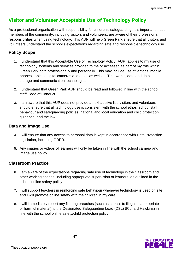# **Visitor and Volunteer Acceptable Use of Technology Policy**

As a professional organisation with responsibility for children's safeguarding, it is important that all members of the community, including visitors and volunteers, are aware of their professional responsibilities when using technology. This AUP will help Green Park ensure that all visitors and volunteers understand the school's expectations regarding safe and responsible technology use.

#### **Policy Scope**

- 1. I understand that this Acceptable Use of Technology Policy (AUP) applies to my use of technology systems and services provided to me or accessed as part of my role within Green Park both professionally and personally. This may include use of laptops, mobile phones, tablets, digital cameras and email as well as IT networks, data and data storage and communication technologies**.**
- 2. I understand that Green Park AUP should be read and followed in line with the school staff Code of Conduct.
- 3. I am aware that this AUP does not provide an exhaustive list; visitors and volunteers should ensure that all technology use is consistent with the school ethos, school staff behaviour and safeguarding policies, national and local education and child protection guidance, and the law.

#### **Data and Image Use**

- 4. I will ensure that any access to personal data is kept in accordance with Data Protection legislation, including GDPR.
- 5. Any images or videos of learners will only be taken in line with the school camera and image use policy.

#### **Classroom Practice**

- 6. I am aware of the expectations regarding safe use of technology in the classroom and other working spaces, including appropriate supervision of learners, as outlined in the school online safety policy.
- 7. I will support teachers in reinforcing safe behaviour whenever technology is used on site and I will promote online safety with the children in my care.
- 8. I will immediately report any filtering breaches (such as access to illegal, inappropriate or harmful material) to the Designated Safeguarding Lead (DSL) (Richard Hawkins) in line with the school online safety/child protection policy.



47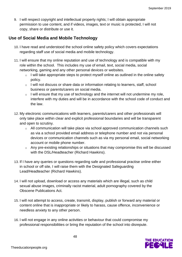9. I will respect copyright and intellectual property rights; I will obtain appropriate permission to use content, and if videos, images, text or music is protected, I will not copy, share or distribute or use it.

#### **Use of Social Media and Mobile Technology**

- 10. I have read and understood the school online safety policy which covers expectations regarding staff use of social media and mobile technology.
- 11. I will ensure that my online reputation and use of technology and is compatible with my role within the school. This includes my use of email, text, social media, social networking, gaming and any other personal devices or websites.
	- o I will take appropriate steps to protect myself online as outlined in the online safety policy.
	- $\circ$  I will not discuss or share data or information relating to learners, staff, school business or parents/carers on social media.
	- $\circ$  I will ensure that my use of technology and the internet will not undermine my role, interfere with my duties and will be in accordance with the school code of conduct and the law.
- 12. My electronic communications with learners, parents/carers and other professionals will only take place within clear and explicit professional boundaries and will be transparent and open to scrutiny.
	- $\circ$  All communication will take place via school approved communication channels such as via a school provided email address or telephone number and not via personal devices or communication channels such as via my personal email, social networking account or mobile phone number.
	- o Any pre-existing relationships or situations that may compromise this will be discussed with the DSL/Headteacher (Richard Hawkins).
- 13. If I have any queries or questions regarding safe and professional practise online either in school or off site, I will raise them with the Designated Safeguarding Lead/Headteacher (Richard Hawkins).
- 14. I will not upload, download or access any materials which are illegal, such as child sexual abuse images, criminally racist material, adult pornography covered by the Obscene Publications Act.
- 15. I will not attempt to access, create, transmit, display, publish or forward any material or content online that is inappropriate or likely to harass, cause offence, inconvenience or needless anxiety to any other person.
- 16. I will not engage in any online activities or behaviour that could compromise my professional responsibilities or bring the reputation of the school into disrepute.

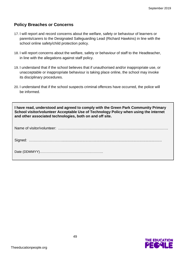#### **Policy Breaches or Concerns**

- 17. I will report and record concerns about the welfare, safety or behaviour of learners or parents/carers to the Designated Safeguarding Lead (Richard Hawkins) in line with the school online safety/child protection policy.
- 18. I will report concerns about the welfare, safety or behaviour of staff to the Headteacher, in line with the allegations against staff policy.
- 19. I understand that if the school believes that if unauthorised and/or inappropriate use, or unacceptable or inappropriate behaviour is taking place online, the school may invoke its disciplinary procedures.
- 20. I understand that if the school suspects criminal offences have occurred, the police will be informed.

| I have read, understood and agreed to comply with the Green Park Community Primary<br>School visitor/volunteer Acceptable Use of Technology Policy when using the internet<br>and other associated technologies, both on and off site. |  |
|----------------------------------------------------------------------------------------------------------------------------------------------------------------------------------------------------------------------------------------|--|
|                                                                                                                                                                                                                                        |  |
|                                                                                                                                                                                                                                        |  |
|                                                                                                                                                                                                                                        |  |

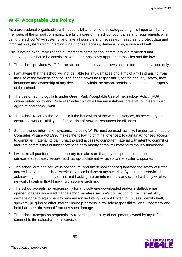# **Wi-Fi Acceptable Use Policy**

As a professional organisation with responsibility for children's safeguarding it is important that all members of the school community are fully aware of the school boundaries and requirements when using the school Wi-Fi systems, and take all possible and necessary measures to protect data and information systems from infection, unauthorised access, damage, loss, abuse and theft.

This is not an exhaustive list and all members of the school community are reminded that technology use should be consistent with our ethos, other appropriate policies and the law.

- 1. The school provides Wi-Fi for the school community and allows access for educational use only.
- 2. I am aware that the school will not be liable for any damages or claims of any kind arising from the use of the wireless service. The school takes no responsibility for the security, safety, theft, insurance and ownership of any device used within the school premises that is not the property of the school.
- 3. The use of technology falls under Green Park Acceptable Use of Technology Policy (AUP), online safety policy and Code of Conduct which all learners/staff/visitors and volunteers must agree to and comply with.
- 4. The school reserves the right to limit the bandwidth of the wireless service, as necessary, to ensure network reliability and fair sharing of network resources for all users.
- 5. School owned information systems, including Wi-Fi, must be used lawfully; I understand that the Computer Misuse Act 1990 makes the following criminal offences: to gain unauthorised access to computer material; to gain unauthorised access to computer material with intent to commit or facilitate commission of further offences or to modify computer material without authorisation.
- 6. I will take all practical steps necessary to make sure that any equipment connected to the school service is adequately secure, such as up-to-date anti-virus software, systems updates.
- 7. The school wireless service is not secure, and the school cannot guarantee the safety of traffic across it. Use of the school wireless service is done at my own risk. By using this service, I acknowledge that security errors and hacking are an inherent risk associated with any wireless network. I confirm that I knowingly assume such risk.
- 8. The school accepts no responsibility for any software downloaded and/or installed, email opened, or sites accessed via the school wireless service's connection to the internet. Any damage done to equipment for any reason including, but not limited to, viruses, identity theft, spyware, plug-ins or other internet-borne programs is my sole responsibility; and I indemnify and hold harmless the school from any such damage.
- 9. The school accepts no responsibility regarding the ability of equipment, owned by myself, to connect to the school wireless service.